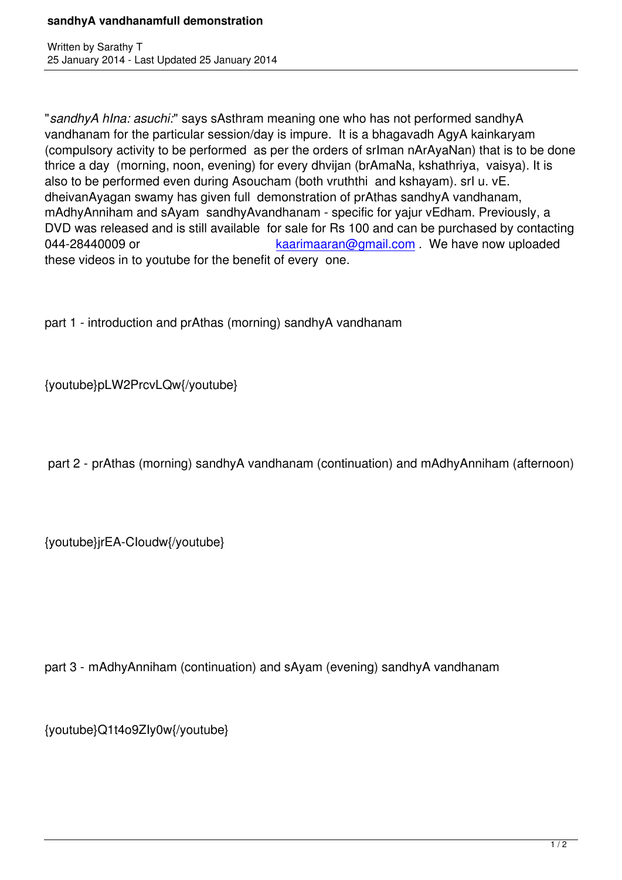"*sandhyA hIna: asuchi:*" says sAsthram meaning one who has not performed sandhyA vandhanam for the particular session/day is impure. It is a bhagavadh AgyA kainkaryam (compulsory activity to be performed as per the orders of srIman nArAyaNan) that is to be done thrice a day (morning, noon, evening) for every dhvijan (brAmaNa, kshathriya, vaisya). It is also to be performed even during Asoucham (both vruththi and kshayam). srI u. vE. dheivanAyagan swamy has given full demonstration of prAthas sandhyA vandhanam, mAdhyAnniham and sAyam sandhyAvandhanam - specific for yajur vEdham. Previously, a DVD was released and is still available for sale for Rs 100 and can be purchased by contacting 044-28440009 or  $\alpha$  kaarimaaran@gmail.com . We have now uploaded these videos in to youtube for the benefit of every one.

part 1 - introduction and prAthas (morning) sandhyA vandhanam

{youtube}pLW2PrcvLQw{/youtube}

part 2 - prAthas (morning) sandhyA vandhanam (continuation) and mAdhyAnniham (afternoon)

{youtube}jrEA-CIoudw{/youtube}

part 3 - mAdhyAnniham (continuation) and sAyam (evening) sandhyA vandhanam

{youtube}Q1t4o9ZIy0w{/youtube}